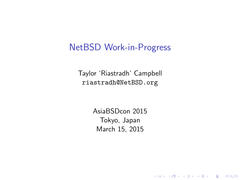#### NetBSD Work-in-Progress

Taylor 'Riastradh' Campbell riastradh@NetBSD.org

> AsiaBSDcon 2015 Tokyo, Japan March 15, 2015

> > **K ロ ▶ K @ ▶ K 할 X X 할 X → 할 X → 9 Q Q ^**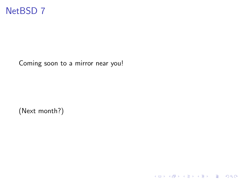

Coming soon to a mirror near you!

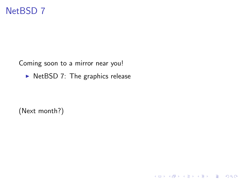# NetBSD 7

Coming soon to a mirror near you!

 $\triangleright$  NetBSD 7: The graphics release

K ロ ▶ K @ ▶ K 할 X X 할 X | 할 X 1 9 Q Q ^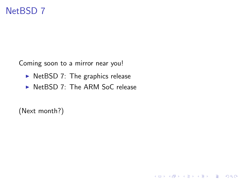# NetBSD 7

Coming soon to a mirror near you!

- $\triangleright$  NetBSD 7: The graphics release
- $\triangleright$  NetBSD 7: The ARM SoC release

K ロ ▶ K @ ▶ K 할 > K 할 > 1 할 > 1 이익어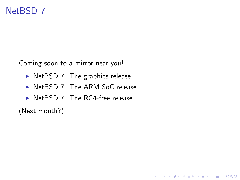# NetBSD 7

Coming soon to a mirror near you!

- $\triangleright$  NetBSD 7: The graphics release
- $\triangleright$  NetBSD 7: The ARM SoC release

K ロ ▶ K @ ▶ K 할 > K 할 > 1 할 > 1 이익어

 $\triangleright$  NetBSD 7: The RC4-free release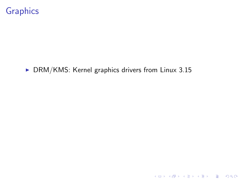#### $\triangleright$  DRM/KMS: Kernel graphics drivers from Linux 3.15

K ロ X K 메 X K B X X B X X D X O Q Q O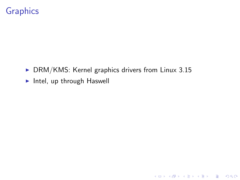$\triangleright$  DRM/KMS: Kernel graphics drivers from Linux 3.15

K ロ ▶ K @ ▶ K 할 ▶ K 할 ▶ | 할 | ⊙Q @

 $\blacktriangleright$  Intel, up through Haswell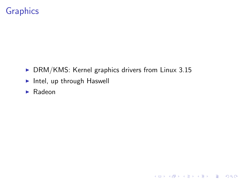$\triangleright$  DRM/KMS: Kernel graphics drivers from Linux 3.15

K ロ ▶ K @ ▶ K 할 ▶ K 할 ▶ | 할 | ⊙Q @

- $\blacktriangleright$  Intel, up through Haswell
- $\blacktriangleright$  Radeon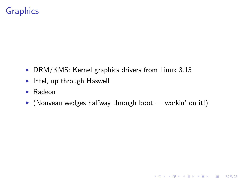- $\triangleright$  DRM/KMS: Kernel graphics drivers from Linux 3.15
- $\blacktriangleright$  Intel, up through Haswell
- $\blacktriangleright$  Radeon
- $\triangleright$  (Nouveau wedges halfway through boot workin' on it!)

K ロ ▶ K @ ▶ K 할 > K 할 > 1 할 > 1 이익어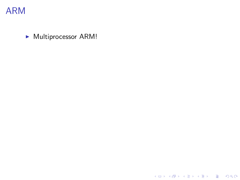

 $\blacktriangleright$  Multiprocessor ARM!

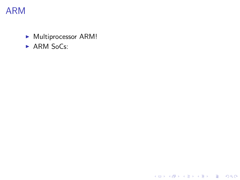$\blacktriangleright$  Multiprocessor ARM!

イロト イ御 トイミト イミト ニミー りんぴ

 $\triangleright$  ARM SoCs: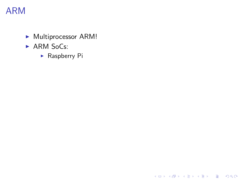- $\blacktriangleright$  Multiprocessor ARM!
- $\triangleright$  ARM SoCs:
	- $\blacktriangleright$  Raspberry Pi

K ロ ▶ K @ ▶ K 할 ▶ K 할 ▶ | 할 | ⊙Q @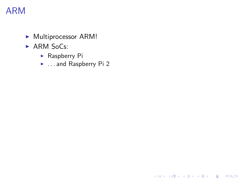- $\blacktriangleright$  Multiprocessor ARM!
- $\triangleright$  ARM SoCs:
	- $\blacktriangleright$  Raspberry Pi
	- **E** ... and Raspberry Pi 2

K ロ ▶ K @ ▶ K 할 ▶ K 할 ▶ | 할 | © 9 Q @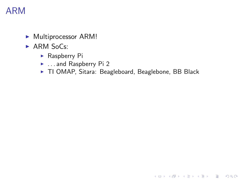- $\blacktriangleright$  Multiprocessor ARM!
- $\triangleright$  ARM SoCs:
	- $\blacktriangleright$  Raspberry Pi
	- **E** ... and Raspberry Pi 2
	- ▶ TI OMAP, Sitara: Beagleboard, Beaglebone, BB Black

K ロ ▶ K @ ▶ K 할 X X 할 X | 할 X 1 9 Q Q ^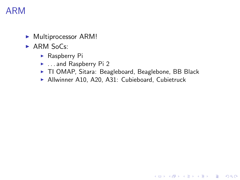- $\blacktriangleright$  Multiprocessor ARM!
- $\triangleright$  ARM SoCs:
	- $\blacktriangleright$  Raspberry Pi
	- $\blacktriangleright$  . . and Raspberry Pi 2
	- ▶ TI OMAP, Sitara: Beagleboard, Beaglebone, BB Black

K ロ ▶ K @ ▶ K 할 > K 할 > 1 할 > 1 이익어

 $\blacktriangleright$  Allwinner A10, A20, A31: Cubieboard, Cubietruck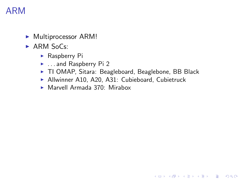- $\blacktriangleright$  Multiprocessor ARM!
- $\triangleright$  ARM SoCs:
	- $\blacktriangleright$  Raspberry Pi
	- ▶ . . . and Raspberry Pi 2
	- ▶ TI OMAP, Sitara: Beagleboard, Beaglebone, BB Black

K ロ ▶ K @ ▶ K 할 > K 할 > 1 할 > 1 이익어

- Allwinner A10, A20, A31: Cubieboard, Cubietruck
- $\triangleright$  Marvell Armada 370: Mirabox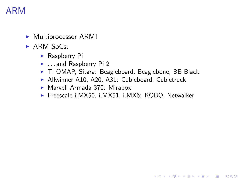- $\blacktriangleright$  Multiprocessor ARM!
- $\triangleright$  ARM SoCs:
	- $\blacktriangleright$  Raspberry Pi
	- ▶ . . . and Raspberry Pi 2
	- ▶ TI OMAP, Sitara: Beagleboard, Beaglebone, BB Black
	- Allwinner A10, A20, A31: Cubieboard, Cubietruck
	- $\triangleright$  Marvell Armada 370: Mirabox
	- ▶ Freescale i.MX50, i.MX51, i.MX6: KOBO, Netwalker

**KORKA SERKER ORA**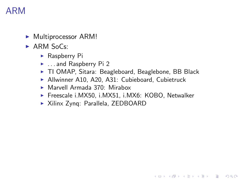- $\blacktriangleright$  Multiprocessor ARM!
- $\triangleright$  ARM SoCs:
	- $\blacktriangleright$  Raspberry Pi
	- $\blacktriangleright$  ... and Raspberry Pi 2
	- ▶ TI OMAP, Sitara: Beagleboard, Beaglebone, BB Black
	- Allwinner A10, A20, A31: Cubieboard, Cubietruck
	- $\triangleright$  Marvell Armada 370: Mirabox
	- ▶ Freescale i.MX50, i.MX51, i.MX6: KOBO, Netwalker

**KORK ERKER ADE YOUR** 

▶ Xilinx Zynq: Parallela, ZEDBOARD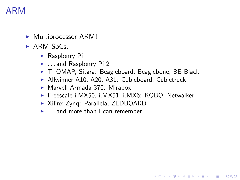- $\blacktriangleright$  Multiprocessor ARM!
- $\triangleright$  ARM SoCs:
	- $\blacktriangleright$  Raspberry Pi
	- $\blacktriangleright$  ... and Raspberry Pi 2
	- ▶ TI OMAP, Sitara: Beagleboard, Beaglebone, BB Black
	- Allwinner A10, A20, A31: Cubieboard, Cubietruck
	- $\triangleright$  Marvell Armada 370: Mirabox
	- ▶ Freescale i.MX50, i.MX51, i.MX6: KOBO, Netwalker

- ▶ Xilinx Zynq: Parallela, ZEDBOARD
- $\blacktriangleright$  ... and more than I can remember.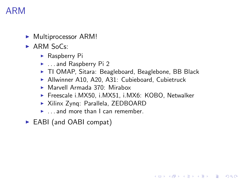- $\blacktriangleright$  Multiprocessor ARM!
- $\triangleright$  ARM SoCs:
	- $\blacktriangleright$  Raspberry Pi
	- $\blacktriangleright$  ... and Raspberry Pi 2
	- ▶ TI OMAP, Sitara: Beagleboard, Beaglebone, BB Black
	- Allwinner A10, A20, A31: Cubieboard, Cubietruck
	- $\triangleright$  Marvell Armada 370: Mirabox
	- ▶ Freescale i.MX50, i.MX51, i.MX6: KOBO, Netwalker

- ▶ Xilinx Zynq: Parallela, ZEDBOARD
- $\blacktriangleright$  ... and more than I can remember.
- ► EABI (and OABI compat)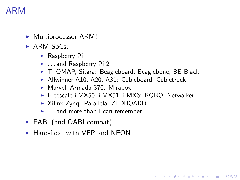- $\blacktriangleright$  Multiprocessor ARM!
- $\triangleright$  ARM SoCs:
	- $\blacktriangleright$  Raspberry Pi
	- $\blacktriangleright$  ... and Raspberry Pi 2
	- ▶ TI OMAP, Sitara: Beagleboard, Beaglebone, BB Black
	- Allwinner A10, A20, A31: Cubieboard, Cubietruck
	- $\triangleright$  Marvell Armada 370: Mirabox
	- ▶ Freescale i.MX50, i.MX51, i.MX6: KOBO, Netwalker

- ▶ Xilinx Zynq: Parallela, ZEDBOARD
- $\blacktriangleright$  ... and more than I can remember.
- $\triangleright$  EABI (and OABI compat)
- $\blacktriangleright$  Hard-float with VFP and NEON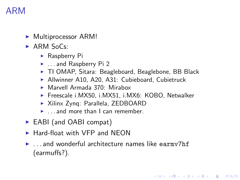- Multiprocessor ARM!
- $\triangleright$  ARM SoCs:
	- $\blacktriangleright$  Raspberry Pi
	- $\blacktriangleright$  ... and Raspberry Pi 2
	- ▶ TI OMAP, Sitara: Beagleboard, Beaglebone, BB Black
	- Allwinner A10, A20, A31: Cubieboard, Cubietruck
	- $\triangleright$  Marvell Armada 370: Mirabox
	- ▶ Freescale i.MX50, i.MX51, i.MX6: KOBO, Netwalker
	- ▶ Xilinx Zynq: Parallela, ZEDBOARD
	- $\blacktriangleright$  ... and more than I can remember.
- $\triangleright$  EABI (and OABI compat)
- $\blacktriangleright$  Hard-float with VFP and NEON
- $\blacktriangleright$  ... and wonderful architecture names like earmy7hf (earmuffs?).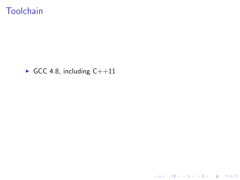### **Toolchain**

#### GCC 4.8, including  $C++11$

K ロ ▶ K @ ▶ K 할 > K 할 > 1 할 > 1 ⊙ 9 Q @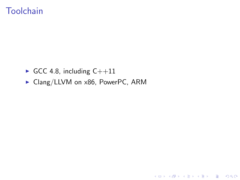## **Toolchain**

- GCC 4.8, including  $C++11$
- ▶ Clang/LLVM on x86, PowerPC, ARM

K ロ ▶ K @ ▶ K 할 ▶ K 할 ▶ | 할 | ⊙Q @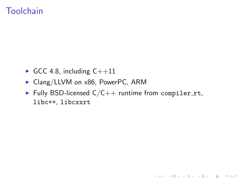## **Toolchain**

- GCC 4.8, including  $C++11$
- $\triangleright$  Clang/LLVM on x86, PowerPC, ARM
- Fully BSD-licensed  $C/C++$  runtime from compiler\_rt, libc++, libcxxrt

K ロ ▶ K @ ▶ K 할 > K 할 > 1 할 > 1 이익어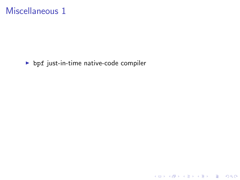$\blacktriangleright$  bpf just-in-time native-code compiler

K ロ X K 메 X K B X X B X X D X O Q Q O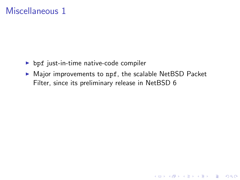- $\triangleright$  bpf just-in-time native-code compiler
- $\triangleright$  Major improvements to npf, the scalable NetBSD Packet Filter, since its preliminary release in NetBSD 6

K ロ ▶ K @ ▶ K 할 > K 할 > 1 할 > 1 이익어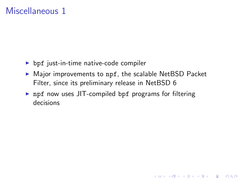- $\triangleright$  bpf just-in-time native-code compiler
- $\triangleright$  Major improvements to npf, the scalable NetBSD Packet Filter, since its preliminary release in NetBSD 6

K ロ ▶ K @ ▶ K 할 > K 할 > 1 할 > 1 이익어

 $\triangleright$  npf now uses JIT-compiled bpf programs for filtering decisions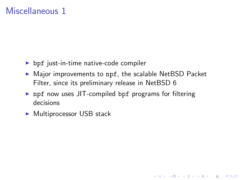- $\triangleright$  bpf just-in-time native-code compiler
- $\triangleright$  Major improvements to npf, the scalable NetBSD Packet Filter, since its preliminary release in NetBSD 6

**K ロ ▶ K @ ▶ K 할 X X 할 X → 할 X → 9 Q Q ^** 

- $\triangleright$  npf now uses JIT-compiled bpf programs for filtering decisions
- $\blacktriangleright$  Multiprocessor USB stack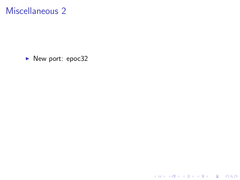▶ New port: epoc32

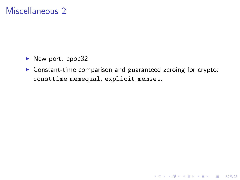- $\blacktriangleright$  New port: epoc32
- $\triangleright$  Constant-time comparison and guaranteed zeroing for crypto: consttime memequal, explicit memset.

K ロ ▶ K @ ▶ K 할 > K 할 > 1 할 > 1 이익어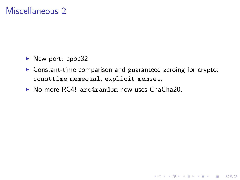- $\blacktriangleright$  New port: epoc32
- $\triangleright$  Constant-time comparison and guaranteed zeroing for crypto: consttime memequal, explicit memset.

**K ロ ▶ K @ ▶ K 할 X X 할 X → 할 X → 9 Q Q ^** 

▶ No more RC4! arc4random now uses ChaCha20.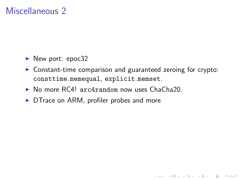- $\blacktriangleright$  New port: epoc32
- $\triangleright$  Constant-time comparison and guaranteed zeroing for crypto: consttime memequal, explicit memset.

**KORKA SERKER ORA** 

- $\triangleright$  No more RC4! arc4random now uses ChaCha20.
- $\triangleright$  DTrace on ARM, profiler probes and more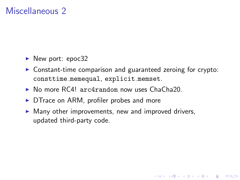- $\blacktriangleright$  New port: epoc32
- $\triangleright$  Constant-time comparison and guaranteed zeroing for crypto: consttime memequal, explicit memset.

**KORKA SERKER ORA** 

- $\triangleright$  No more RC4! arc4random now uses ChaCha20.
- $\triangleright$  DT race on ARM, profiler probes and more
- $\triangleright$  Many other improvements, new and improved drivers, updated third-party code.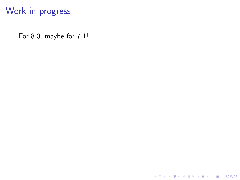For 8.0, maybe for 7.1!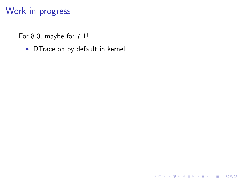For 8.0, maybe for 7.1!

 $\triangleright$  DTrace on by default in kernel

K ロ ▶ K @ ▶ K 할 ▶ K 할 ▶ | 할 | ⊙Q @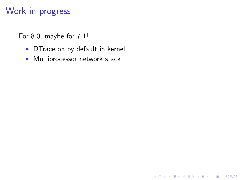For 8.0, maybe for 7.1!

 $\triangleright$  DTrace on by default in kernel

**K ロ ▶ K @ ▶ K 할 X X 할 X 및 할 X X Q Q O \*** 

 $\blacktriangleright$  Multiprocessor network stack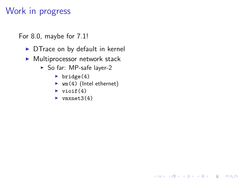For 8.0, maybe for 7.1!

- $\triangleright$  DTrace on by default in kernel
- $\blacktriangleright$  Multiprocessor network stack
	- $\blacktriangleright$  So far: MP-safe layer-2
		- $\blacktriangleright$  bridge(4)
		- $\blacktriangleright$  wm(4) (Intel ethernet)

K ロ ▶ K @ ▶ K 할 > K 할 > 1 할 > 1 이익어

- $\blacktriangleright$  vioif(4)
- $\blacktriangleright$  vmxnet3(4)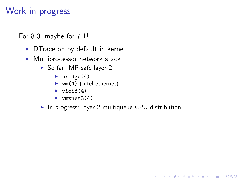For 8.0, maybe for 7.1!

- $\triangleright$  DTrace on by default in kernel
- $\blacktriangleright$  Multiprocessor network stack
	- $\triangleright$  So far: MP-safe layer-2
		- $\blacktriangleright$  bridge(4)
		- $\blacktriangleright$  wm(4) (Intel ethernet)
		- $\blacktriangleright$  vioif(4)
		- $\blacktriangleright$  vmxnet.3(4)
	- $\triangleright$  In progress: layer-2 multiqueue CPU distribution

**KORKA SERKER ORA**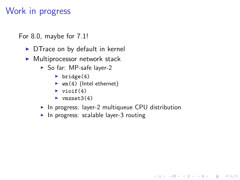For 8.0, maybe for 7.1!

- $\triangleright$  DTrace on by default in kernel
- $\blacktriangleright$  Multiprocessor network stack
	- $\triangleright$  So far: MP-safe layer-2
		- $\blacktriangleright$  bridge(4)
		- $\blacktriangleright$  wm(4) (Intel ethernet)
		- $\blacktriangleright$  vioif(4)
		- $\blacktriangleright$  vmxnet.3(4)
	- $\triangleright$  In progress: layer-2 multiqueue CPU distribution

K ロ ▶ K @ ▶ K 할 > K 할 > 1 할 > 1 이익어

 $\blacktriangleright$  In progress: scalable layer-3 routing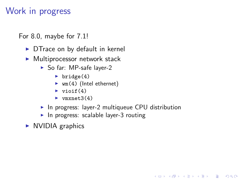For 8.0, maybe for 7.1!

- $\triangleright$  DTrace on by default in kernel
- $\blacktriangleright$  Multiprocessor network stack
	- $\triangleright$  So far: MP-safe layer-2
		- $\blacktriangleright$  bridge(4)
		- $\blacktriangleright$  wm(4) (Intel ethernet)
		- $\blacktriangleright$  vioif(4)
		- $\blacktriangleright$  vmxnet.3(4)
	- $\triangleright$  In progress: layer-2 multiqueue CPU distribution

K ロ ▶ K @ ▶ K 할 > K 할 > 1 할 > 1 이익어

 $\blacktriangleright$  In progress: scalable layer-3 routing

 $\triangleright$  NVIDIA graphics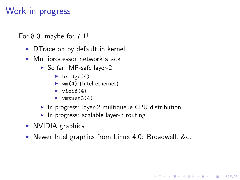For 8.0, maybe for 7.1!

- $\triangleright$  DTrace on by default in kernel
- $\blacktriangleright$  Multiprocessor network stack
	- $\triangleright$  So far: MP-safe layer-2
		- $\blacktriangleright$  bridge(4)
		- $\blacktriangleright$  wm(4) (Intel ethernet)
		- $\blacktriangleright$  vioif(4)
		- $\blacktriangleright$  vmxnet.3(4)
	- $\triangleright$  In progress: layer-2 multiqueue CPU distribution
	- $\blacktriangleright$  In progress: scalable layer-3 routing
- $\triangleright$  NVIDIA graphics
- $\triangleright$  Newer Intel graphics from Linux 4.0: Broadwell, &c.

**KORKA SERKER ORA**